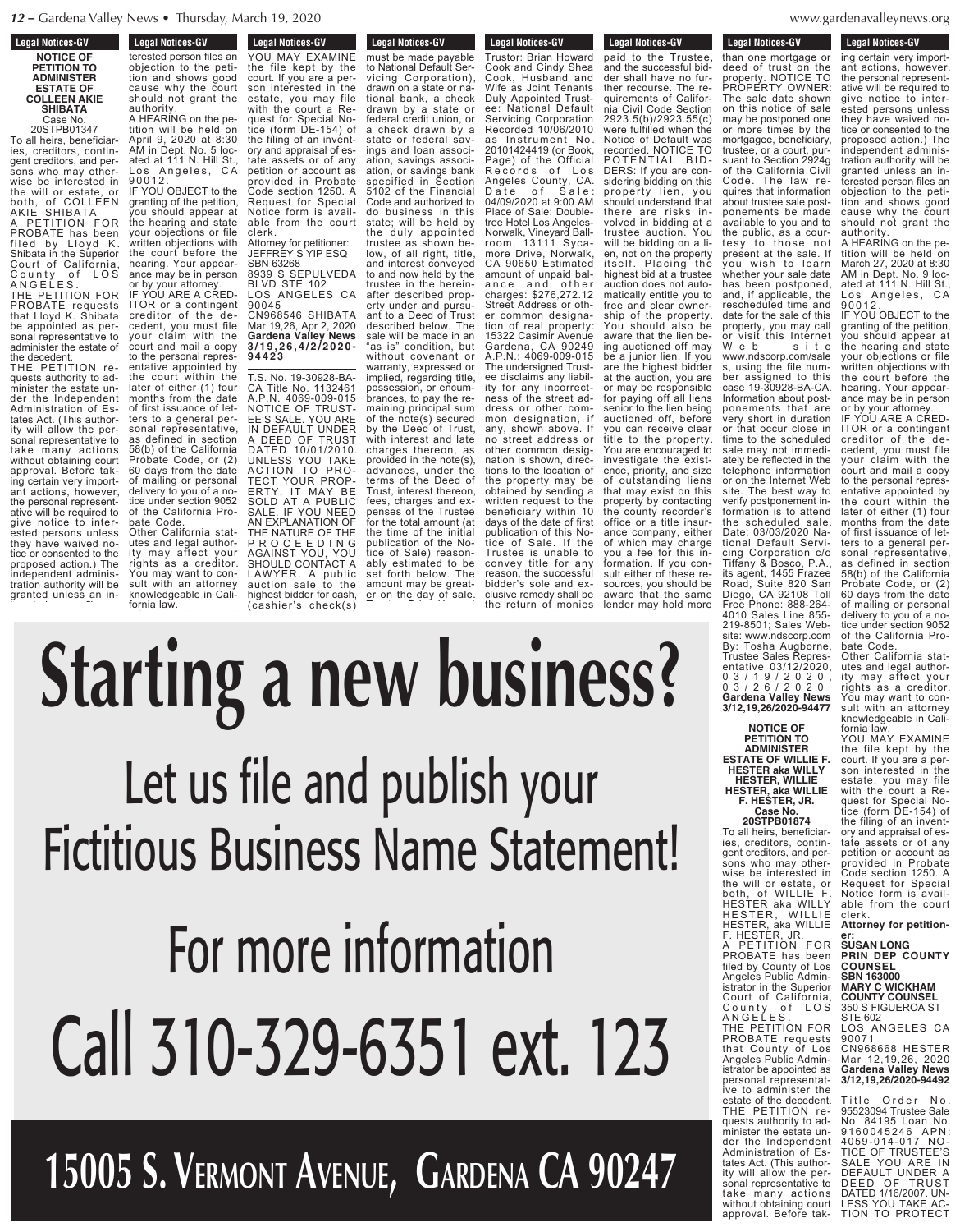**Legal Notices-GV** 

**Legal Notices-GV NOTICE OF PETITION TO ADMINISTER ESTATE OF COLLEEN AKIE SHIBATA** Case No.

20STPB01347 To all heirs, beneficiaries, creditors, contingent creditors, and persons who may otherwise be interested in the will or estate, or both, of COLLEEN AKIE SHIBATA

A PETITION FOR PROBATE has been filed by Lloyd K. Shibata in the Superior Court of California, County of LOS A N G E L E S .

THE PETITION FOR PROBATE requests that Lloyd K. Shibata be appointed as personal representative to administer the estate of the decedent.

THE PETITION requests authority to administer the estate under the Independent Administration of Estates Act. (This authority will allow the personal representative to take many actions without obtaining court approval. Before taking certain very important actions, however, the personal representative will be required to give notice to interested persons unless they have waived notice or consented to the proposed action.) The independent administration authority will be granted unless an in-

should not grant the

You may want to con-

with the court and court a Re-

Legal Nulles-GV terested person files an objection to the petition and shows good cause why the court should not grant the authority. A HEARING on the petition will be held on April 9, 2020 at 8:30 AM in Dept. No. 5 located at 111 N. Hill St., Los Angeles, CA 9 0 0 1 2 . IF YOU OBJECT to the granting of the petition, you should appear at the hearing and state your objections or file written objections with the court before the hearing. Your appearance may be in person or by your attorney. IF YOU ARE A CRED-ITOR or a contingent creditor of the decedent, you must file

your claim with the court and mail a copy to the personal representative appointed by the court within the later of either (1) four months from the date of first issuance of letters to a general personal representative, as defined in section 58(b) of the California Probate Code, or (2) 60 days from the date of mailing or personal delivery to you of a notice under section 9052 of the California Probate Code. Other California stat-

utes and legal authority may affect your rights as a creditor. You may want to consult with an attorney knowledgeable in California law.

court. If you are a person interested in the

**Legal Notices-GV Legal Notified** YOU MAY EXAMINE the file kept by the court. If you are a person interested in the estate, you may file with the court a Request for Special Notice (form DE-154) of the filing of an inventory and appraisal of estate assets or of any petition or account as provided in Probate Code section 1250. A Request for Special Notice form is available from the court clerk. Attorney for petitioner: JEFFREY S YIP ESQ SBN 63268 8939 S SEPULVEDA BLVD STE 102 LOS ANGELES CA 90045

CN968546 SHIBATA Mar 19,26, Apr 2, 2020 **Gardena Valley News 3 / 1 9 , 2 6 , 4 / 2 / 2 0 2 0 - 9 4 4 2 3**

T.S. No. 19-30928-BA-CA Title No. 1132461 A.P.N. 4069-009-015 NOTICE OF TRUST-EE'S SALE. YOU ARE IN DEFAULT UNDER A DEED OF TRUST DATED 10/01/2010. UNLESS YOU TAKE ACTION TO PRO-TECT YOUR PROP-ERTY, IT MAY BE SOLD AT A PUBLIC SALE. IF YOU NEED AN EXPLANATION OF THE NATURE OF THE P R O C E E D I N G AGAINST YOU, YOU SHOULD CONTACT A LAWYER. A public auction sale to the highest bidder for cash, (cashier's check(s) must be made payable

to National Default Servicing Corporation), drawn on a state or national bank, a check drawn by a state or federal credit union, or a check drawn by a state or federal savings and loan association, savings association, or savings bank specified in Section 5102 of the Financial Code and authorized to do business in this state; will be held by the duly appointed trustee as shown below, of all right, title, and interest conveyed to and now held by the trustee in the hereinafter described property under and pursuant to a Deed of Trust described below. The sale will be made in an "as is" condition, but without covenant or warranty, expressed or implied, regarding title, possession, or encumbrances, to pay the remaining principal sum of the note(s) secured by the Deed of Trust, with interest and late charges thereon, as provided in the note(s), advances, under the terms of the Deed of Trust, interest thereon, fees, charges and expenses of the Trustee for the total amount (at the time of the initial publication of the Notice of Sale) reasonably estimated to be set forth below. The amount may be greater on the day of sale. Trustor: Brian Howard

Wife as Joint Tenants Duly Appointed Trust-

**Legal Notices-GV** Legal Nutices-GV must be made payable

**Legal Notices-GV Edgar Notices-GV** Trustor: Brian Howard Cook and Cindy Shea Cook, Husband and Wife as Joint Tenants Duly Appointed Trust ee: National Default Servicing Corporation Recorded 10/06/2010 as Instrument No. 20101424419 (or Book, Page) of the Official Records of Los Angeles County, CA. Date of Sale: 04/09/2020 at 9:00 AM Place of Sale: Doubletree Hotel Los Angeles-Norwalk, Vineyard Ballroom, 13111 Sycamore Drive, Norwalk, CA 90650 Estimated amount of unpaid balance and other charges: \$276,272.12 Street Address or other common designation of real property: 15322 Casimir Avenue Gardena, CA 90249 A.P.N.: 4069-009-015 The undersigned Trustee disclaims any liability for any incorrectness of the street address or other common designation, if any, shown above. If no street address or other common designation is shown, directions to the location of the property may be obtained by sending a written request to the beneficiary within 10 days of the date of first publication of this Notice of Sale. If the Trustee is unable to convey title for any reason, the successful bidder's sole and exclusive remedy shall be the return of monies

der shall have no further recourse. The re-

formation. If you con-

#### **Starting a new business?** Let us file and publish your Fictitious Business Name Statement!  $\sim$  sale date shown in the sale of  $\sim$  $\overline{\phantom{a}}$  of  $\overline{\phantom{a}}$ may be postponed one or more times by the mortgage  $\bullet$   $\bullet$   $\bullet$ you wi sh to learn whether your sale date has been postponed,  $\blacksquare$ rescheduled time and  $\ddotsc$  the sale of the sale of the sale of this sale of the sale of the sale of the sale of the sale of the sale of the sale of the sale of the sale of the sale of the sale of the sale of the sale of the sale of the sale quirements of California Code Section Code Section 2923.5(b)/2923.55(c) were fulfilled when the Notice of Default was recorded. No should understand that there are risks inn vouw trustee auction. will be bidding on a lien, not on the property it self. Plac ing the  $\bigcap_{i=1}^n$ L TATAM matically entitle you to **petute**  $\sim$  core property. ee: National Default Service Corporation Corporation Corporation Corporation Corporation Corporation Corporation Corporation Corporation Corporation Corporation Corporation Corporation Corporation Corporation Corporation Corporation Corporatio Recorded 10/06/2010 as Ins trument No. 2010 N. B  $\mathcal{P}$  and  $\mathcal{P}$ Place of Sale: Doubletree Hotel Los Angeles-Norwalk, Vineyard Ballroom, 1311 Sycamo more Drive, Norwalk, CA 90650 Estimated amount of unpaid bala n d o t h e r  $N \cap M \cap$ STREET ercommon  $t \cdot \mathbf{r}$  . . . .  $\bullet$ The undersigned Trusttional bank, a check drawn by a state of the state of the state of the state of the state of the state or other federal credit union, or a *ch*eck drawn by a state or federal sav- $\sim$   $\sim$   $\sim$   $\sim$   $\sim$ Code and authorized to do business in the second second second in the second second in the second second in the second second in the <br>In this case of the second in the second in the second in the second in the second in the second in the second state; will be held by the duly appointed trustee as shown beand interest conveyed to and now held by the  $101M$ after described property under and pursuand the **co**  $\bullet$ estate, you may file WITH **KA** A quest for Special Not in Ity the filing of an invent- $\overline{\phantom{a}}$  and  $\overline{\phantom{a}}$ tate assets or of any petition or account as Request for Special  $\blacksquare$ l at HC clerk. Attorney for petitioner: SBN 63268  $\overline{\phantom{a}}$  $\blacksquare$ LOS DI 1**0**4  $\sim$   $\sim$   $\sim$ authority.  $\blacksquare$ tition will be held on  $\blacksquare$ **AM IN DEPT. 1998**  $\overline{\phantom{a}}$ ance may be in person or by your attorney. IF LICTH ITOR or a contingent creditor de la contra cedent, you must file

#### For more information Call 310-329-6351 ext. 123 ately be reflected in the telephone in the set of the set of the set of the set of the set of the set of the set of the set of the set o or on the Internet Web site. The best way to izj post are the highest bidder  $\mathbf{L}_{\mathbf{a}}$  and  $\mathbf{L}_{\mathbf{a}}$ rian i for paying off all liens senior to the lien being investigate the existence, priority, and size on vit that may be a set of this contribution of the set of the set of the set of the set of the set of this contribution of the set of the set of the set of the set of the set of the set of the set of the set of the set of the s property by contacting the county records  $\mathbf{r}$ office or a title insuree disclaims any liability for any incorrectnia vitat d dress or other common designation, if  $\bullet = -1$  $\sim$  7  $\sim$  1 obtained by sending a nn n UUJI warranty, expressed or implied, regarding title, possession in the set of the set of the set of the set of the set of the set of the set of the set of the set o  $\blacksquare$ maining principal sum  $\mathbf{p}$  and note  $\mathbf{p}$ advances, under the terms of the Deed of the Deed of the Deed of the Deed of the Deed of the Deed of the Deed of the Deed of the D Trust, interest thereon, fees, charges and expenses of the Trustee Probate Code, or (2) 60 days from the date of mail  $\mathbb{R}^n$ delivery to you of a no- $\blacksquare$ of the California Probate Code. Other California stat-

**15005 S. Vermont Avenue, Gardena CA 90247**  $\overline{\mathbf{O}}$  $\blacksquare$ 402 Zales Line 855-55-55  $V = T/$ By: Tosha Augborne, aware that the same lender may hold more tha in A LIVA UI V the return of monies pressure to the Trustee, the Trustee, the Trustee, the Trustee, the Trustee, the Trustee, the Trustee, the Trustee, the Trustee, the Trustee, the Trustee, the Trustee, the Trustee, the Trustee, the Trustee, the Trustee, th and the successful bid-JL) JANI ther recourse. The reer on the day of sale. Trustor: Brian Howard INI AVEN ZINI *i* Vvliv fornia law. WOU MAY EXAMINE the file kept by the  $\blacksquare$ 

ably estimated to be

ee: National Default

reason, the successful

denavalleynews.org  $\frac{1}{2}$ sult either of the theorem of the these resources, you should be a short

**Legal Notices-GV Legal Notices-GV** 

Legal Nutles-GV than one mortgage or deed of trust on the property. NOTICE TO PROPERTY OWNER: The sale date shown on this notice of sale may be postponed one or more times by the mortgagee, beneficiary, trustee, or a court, pursuant to Section 2924g of the California Civil Code. The law requires that information about trustee sale postponements be made available to you and to the public, as a courtesy to those not present at the sale. If you wish to learn whether your sale date has been postponed, and, if applicable, the rescheduled time and date for the sale of this property, you may call or visit this Internet W e b s i t e www.ndscorp.com/sale s, using the file number assigned to this case 19-30928-BA-CA. Information about postponements that are very short in duration or that occur close in time to the scheduled sale may not immediately be reflected in the telephone information or on the Internet Web site. The best way to verify postponement information is to attend the scheduled sale. Date: 03/03/2020 National Default Servicing Corporation c/o Tiffany & Bosco, P.A., its agent, 1455 Frazee Road, Suite 820 San Diego, CA 92108 Toll Free Phone: 888-264- 4010 Sales Line 855- 219-8501; Sales Website: www.ndscorp.com By: Tosha Augborne, Trustee Sales Representative 03/12/2020, Legal Nutries-GV paid to the Trustee, and the successful bidder shall have no further recourse. The requirements of California Civil Code Section 2923.5(b)/2923.55(c) were fulfilled when the Notice of Default was recorded. NOTICE TO POTENTIAL BID-DERS: If you are considering bidding on this property lien, you should understand that there are risks involved in bidding at a trustee auction. You will be bidding on a lien, not on the property itself. Placing the highest bid at a trustee auction does not automatically entitle you to free and clear ownership of the property. You should also be aware that the lien being auctioned off may be a junior lien. If you are the highest bidder at the auction, you are or may be responsible for paying off all liens senior to the lien being auctioned off, before you can receive clear title to the property. You are encouraged to investigate the existence, priority, and size of outstanding liens that may exist on this property by contacting the county recorder's office or a title insurance company, either of which may charge you a fee for this information. If you consult either of these resources, you should be aware that the same lender may hold more PROPERTY OWNER:

0 3 / 1 9 / 2 0 2 0 , 0 3 / 2 6 / 2 0 2 0 **Gardena Valley News 3/12,19,26/2020-94477**

**NOTICE OF PETITION TO ADMINISTER ESTATE OF WILLIE F. HESTER aka WILLY HESTER, WILLIE HESTER, aka WILLIE F. HESTER, JR.**

**Case No. 20STPB01874** To all heirs, beneficiar-

ies, creditors, contingent creditors, and persons who may otherwise be interested in the will or estate, or both, of WILLIE F.<br>HESTER aka WILLY HESTER, WILLIE HESTER, aka WILLIE F. HESTER, JR. A PETITION FOR PROBATE has been filed by County of Los Angeles Public Administrator in the Superior

Court of California, County of LOS A N G E L E S . THE PETITION FOR PROBATE requests that County of Los Angeles Public Administrator be appointed as personal representative to administer the estate of the decedent. THE PETITION requests authority to administer the estate under the Independent Administration of Estates Act. (This authority will allow the personal representative to take many actions without obtaining court approval. Before tak-<br>.

Tiffany & Bosco, P.A.,

**Legal Notices-GV** Legal Nutries-dv ing certain very important actions, however, the personal representative will be required to give notice to interested persons unless they have waived notice or consented to the proposed action.) The independent administration authority will be granted unless an interested person files an objection to the petition and shows good cause why the court should not grant the

authority. A HEARING on the petition will be held on March 27, 2020 at 8:30 AM in Dept. No. 9 located at 111 N. Hill St., Los Angeles, CA 9 0 0 1 2 .

IF YOU OBJECT to the granting of the petition, you should appear at the hearing and state your objections or file written objections with the court before the hearing. Your appearance may be in person or by your attorney.

IF YOU ARE A CRED-ITOR or a contingent creditor of the decedent, you must file your claim with the court and mail a copy to the personal representative appointed by the court within the later of either (1) four months from the date of first issuance of letters to a general personal representative, as defined in section 58(b) of the California Probate Code, or (2) 60 days from the date of mailing or personal delivery to you of a notice under section 9052 of the California Probate Code.

Other California statutes and legal authority may affect your rights as a creditor. You may want to consult with an attorney knowledgeable in California law.

YOU MAY EXAMINE the file kept by the court. If you are a person interested in the estate, you may file with the court a Request for Special Notice (form DE-154) of the filing of an inventory and appraisal of estate assets or of any petition or account as provided in Probate Code section 1250. A Request for Special Notice form is avail-able from the court clerk.

**Attorney for petitioner:**

**SUSAN LONG PRIN DEP COUNTY COUNSEL SBN 163000 MARY C WICKHAM COUNTY COUNSEL**

350 S FIGUEROA ST STE 602 LOS ANGELES CA 90071 CN968668 HESTER Mar 12,19,26, 2020 **Gardena Valley News 3/12,19,26/2020-94492**

Title Order No. 95523094 Trustee Sale No. 84195 Loan No. 9 1 6 0 0 4 5 2 4 6 AP N : 4059-014-017 NO-TICE OF TRUSTEE'S SALE YOU ARE IN DEFAULT UNDER A DEED OF TRUST DATED 1/16/2007. UN-LESS YOU TAKE AC-<br>TION TO PROTECT<br>-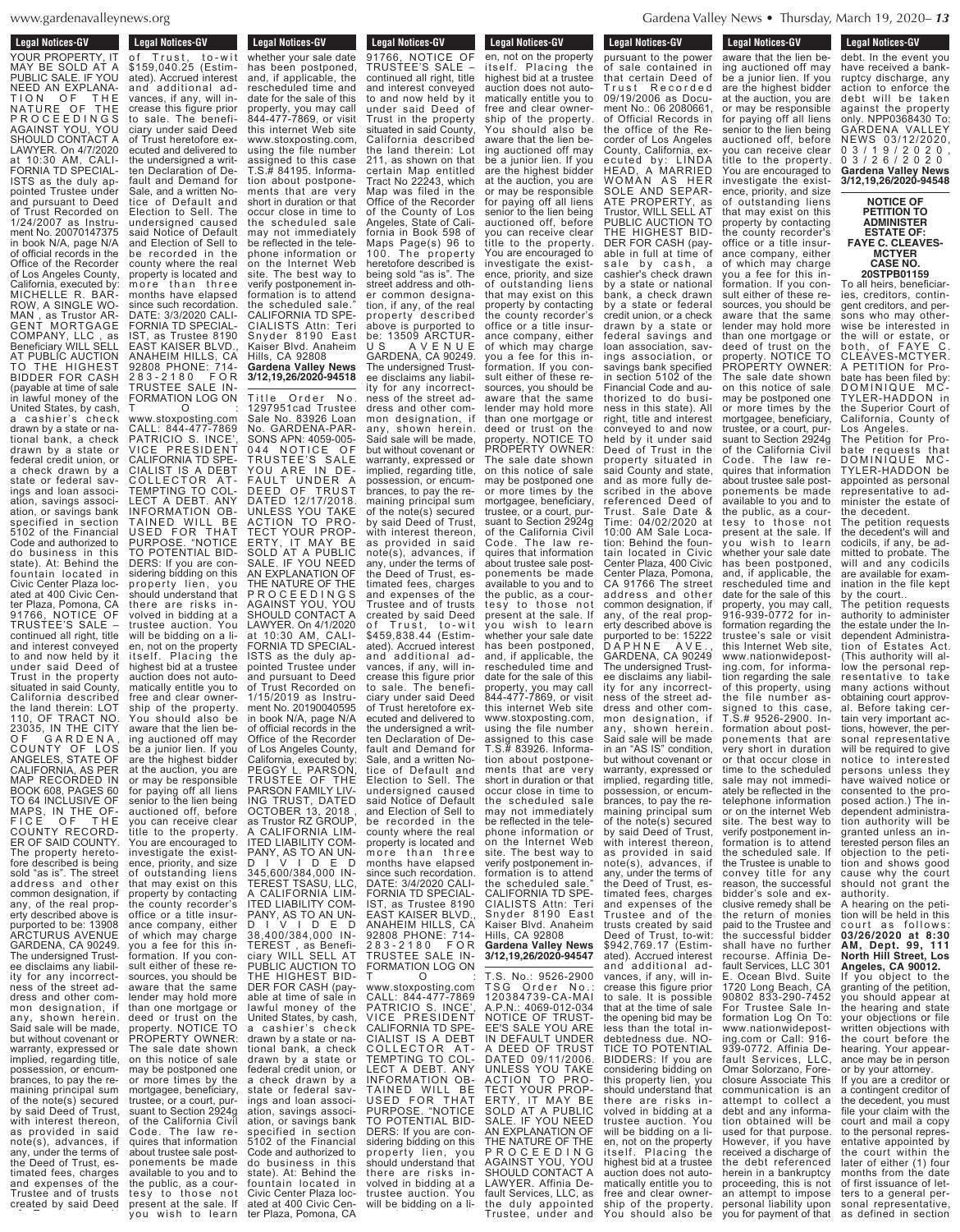$PWS. OYQ$ www.gardenavalleynews.org  $\ldots$   $\ldots$   $\ldots$   $\ldots$   $\ldots$   $\ldots$   $\ldots$   $\ldots$   $\ldots$   $\ldots$   $\ldots$   $\ldots$   $\ldots$   $\ldots$   $\ldots$   $\ldots$   $\ldots$   $\ldots$   $\ldots$   $\ldots$   $\ldots$   $\ldots$   $\ldots$   $\ldots$   $\ldots$   $\ldots$   $\ldots$   $\ldots$   $\ldots$   $\ldots$   $\ldots$   $\ldots$   $\ldots$   $\ldots$   $\ldots$   $\ldots$   $\ldots$ 

**Legal Notices-GV** Legal Nutles-GV YOUR PROPERTY, IT MAY BE SOLD AT A PUBLIC SALE. IF YOU NEED AN EXPLANA-TION OF THE NATURE OF THE P R O C E E D I N G S AGAINST YOU, YOU SHOULD CONTACT A LAWYER. On 4/7/2020 at 10:30 AM, CALI-FORNIA TD SPECIAL-ISTS as the duly appointed Trustee under and pursuant to Deed of Trust Recorded on 1/24/2007 as Instrument No. 20070147375 in book N/A, page N/A of official records in the Office of the Recorder of Los Angeles County, California, executed by: MICHELLE R. BAR-ROW, A SINGLE WO-MAN , as Trustor AR-GENT MORTGAGE COMPANY, LLC , as Beneficiary WILL SELL AT PUBLIC AUCTION TO THE HIGHEST BIDDER FOR CASH (payable at time of sale in lawful money of the United States, by cash, a cashier's check drawn by a state or national bank, a check drawn by a state or federal credit union, or a check drawn by a state or federal savings and loan association, savings association, or savings bank specified in section 5102 of the Financial Code and authorized to do business in this state). At: Behind the fountain located in Civic Center Plaza located at 400 Civic Center Plaza, Pomona, CA 91766, NOTICE OF TRUSTEE'S SALE – continued all right, title and interest conveyed to and now held by it under said Deed of Trust in the property situated in said County California describe the land therein: LOT 110, OF TRACT NO. 23035, IN THE CITY OF GARDENA, COUNTY OF LOS ANGELES, STATE OF CALIFORNIA, AS PER MAP RECORDED IN BOOK 608, PAGES 60 TO 64 INCLUSIVE OF MAPS, IN THE OF-FICE OF THE COUNTY RECORD-ER OF SAID COUNTY. The property heretofore described is being sold "as is". The street address and other common designation, if any, of the real prop-erty described above is purported to be: 13908 ARCTURUS AVENUE GARDENA, CA 90249. The undersigned Trustee disclaims any liability for any incorrectness of the street address and other common designation, if any, shown herein. Said sale will be made, but without covenant or warranty, expressed or implied, regarding title, possession, or encumbrances, to pay the remaining principal sum of the note(s) secured by said Deed of Trust, with interest thereon. as provided in said note(s), advances, if any, under the terms of the Deed of Trust, estimated fees, charges and expenses of the Trustee and of trusts created by said Deed

**Legal Notices-GV Legal Nutries-GV** of Trust, to-wit \$159,040.25 (Estimated). Accrued interest and additional advances, if any, will increase this figure prior to sale. The beneficiary under said Deed of Trust heretofore executed and delivered to the undersigned a written Declaration of Default and Demand for Sale, and a written Notice of Default and Election to Sell. The undersigned caused said Notice of Default and Election of Sell to be recorded in the county where the real property is located and more than three months have elapsed since such recordation. DATE: 3/3/2020 CALI-FORNIA TD SPECIAL-IST, as Trustee 8190 EAST KAISER BLVD., ANAHEIM HILLS, CA 92808 PHONE: 714- 2 8 3 - 2 1 8 0 F O R TRUSTEE SALE IN-FORMATION LOG ON T O :

www.stoxposting.com CALL: 844-477-7869 PATRICIO S. INCE', VICE PRESIDENT CALIFORNIA TD SPE-CIALIST IS A DEBT COLLECTOR AT-TEMPTING TO COL-LECT A DEBT. ANY INFORMATION OB-TAINED WILL BE USED FOR THAT PURPOSE. "NOTICE TO POTENTIAL BID-DERS: If you are considering bidding on this property lien, you should understand that there are risks involved in bidding at a trustee auction. You will be bidding on a lien, not on the property itself. Placing the highest bid at a trustee auction does not automatically entitle you to free and clear ownership of the property. You should also be aware that the lien being auctioned off may be a junior lien. If you are the highest bidder at the auction, you are or may be responsible for paying off all liens senior to the lien being auctioned off, before you can receive clear title to the property. You are encouraged to investigate the existence, priority, and size of outstanding liens that may exist on this property by contacting the county recorder's office or a title insurance company, either of which may charge you a fee for this information. If you consult either of these resources, you should be aware that the same lender may hold more than one mortgage or deed or trust on the property. NOTICE TO PROPERTY OWNER: The sale date shown on this notice of sale may be postponed one or more times by the mortgagee, beneficiary, trustee, or a court, pursuant to Section 2924g of the California Civil Code. The law requires that information about trustee sale postponements be made available to you and to the public, as a courtesy to those not present at the sale. If you wish to learn<br>.

**Legal Notices-GV** Legal Nutries-QV whether your sale date has been postponed, and, if applicable, the rescheduled time and date for the sale of this property, you may call 844-477-7869, or visit this internet Web site www.stoxposting.com, using the file number assigned to this case T.S.# 84195. Information about postponements that are very short in duration or that occur close in time to the scheduled sale may not immediately be reflected in the telephone information or on the Internet Web<br>site. The best way to The best way to verify postponement information is to attend the scheduled sale." CALIFORNIA TD SPE-CIALISTS Attn: Teri Snyder 8190 East Kaiser Blvd. Anaheim Hills, CA 92808 **Gardena Valley News 3/12,19,26/2020-94518** Title Order No.

1297951cad Trustee Sale No. 83926 Loan No. GARDENA-PAR-SONS APN: 4059-005- 044 NOTICE OF TRUSTEE'S SALE YOU ARE IN DE-FAULT UNDER A DEED OF TRUST DATED 12/17/2018. UNLESS YOU TAKE ACTION TO PRO-TECT YOUR PROP-ERTY, IT MAY BE SOLD AT A PUBLIC SALE. IF YOU NEED AN EXPLANATION OF THE NATURE OF THE P R O C E E D I N G S AGAINST YOU, YOU SHOULD CONTACT A LAWYER. On 4/1/2020 at 10:30 AM, CALI-FORNIA TD SPECIAL-ISTS as the duly appointed Trustee under and pursuant to Deed of Trust Recorded on 1/15/2019 as Instrument No. 20190040595 in book N/A, page N/A of official records in the Office of the Recorder of Los Angeles County, California, executed by: PEGGY L. PARSON, TRUSTEE OF THE PARSON FAMILY LIV-ING TRUST, DATED OCTOBER 13, 2018 , as Trustor RZ GROUP, A CALIFORNIA LIM-ITED LIABILITY COM-PANY, AS TO AN UN-D I V I D E D 345,600/384,000 IN-TEREST TSASU, LLC, A CALIFORNIA LIM-ITED LIABILITY COM-PANY, AS TO AN UN-D I V I D E D 38,400/384,000 IN-TEREST , as Benefi-ciary WILL SELL AT PUBLIC AUCTION TO THE HIGHEST BID-DER FOR CASH (payable at time of sale in lawful money of the United States, by cash, a cashier's check drawn by a state or national bank, a check drawn by a state or federal credit union, or a check drawn by a state or federal savings and loan association, savings association, or savings bank specified in section 5102 of the Financial Code and authorized to do business in this state). At: Behind the fountain located in Civic Center Plaza locter Plaza, Pomona, CA

**Legal Notices-GV** Legal Nutices-GV 91766, NOTICE OF TRUSTEE'S SALE – continued all right, title and interest conveyed to and now held by it under said Deed of Trust in the property situated in said County, California described the land therein: Lot 211, as shown on that certain Map entitled Tract No 22243, which Map was filed in the Office of the Recorder of the County of Los Angeles, State of California in Book 598 of Maps Page(s) 96 to 100. The property heretofore described is being sold "as is". The street address and other common designation, if any, of the real property described above is purported to be: 13509 ARCTUR-U S A V E N U E GARDENA, CA 90249. The undersigned Trustee disclaims any liability for any incorrectness of the street address and other com-<br>mon-designation if mon designation, any, shown herein. Said sale will be made, but without covenant or warranty, expressed or implied, regarding title, possession, or encumbrances, to pay the remaining principal sum of the note(s) secured by said Deed of Trust, with interest thereon, as provided in said note(s), advances, if any, under the terms of the Deed of Trust, estimated fees, charges and expenses of the Trustee and of trusts created by said Deed of Trust, to-wit \$459,838.44 (Estimated). Accrued interest and additional advances, if any, will increase this figure prior to sale. The beneficiary under said Deed of Trust heretofore executed and delivered to the undersigned a written Declaration of Default and Demand for Sale, and a written Notice of Default and Election to Sell. The undersigned caused said Notice of Default and Election of Sell to be recorded in the county where the real property is located and more than three months have elapsed since such recordation. DATE: 3/4/2020 CALI-FORNIA TD SPECIAL-IST, as Trustee 8190 EAST KAISER BLVD., ANAHEIM HILLS, CA 92808 PHONE: 714- 2 8 3 - 2 1 8 0 F O R TRUSTEE SALE IN-FORMATION LOG ON T O : www.stoxposting.com CALL: 844-477-7869 PATRICIO S. INCE', VICE PRESIDENT

CALIFORNIA TD SPE-CIALIST IS A DEBT COLLECTOR AT-TEMPTING TO COL-LECT A DEBT. ANY INFORMATION OB-TAINED WILL BE USED FOR THAT PURPOSE. "NOTICE TO POTENTIAL BID-DERS: If you are considering bidding on this property lien, you<br>should\_understand\_that there are risks involved in bidding at a trustee auction. You will be bidding on a li-

**Legal Notices-GV** Legal Nutles-GV **Legal Notices-GV** Legal Notices-GV en, not on the property itself. Placing the highest bid at a trustee auction does not automatically entitle you to free and clear ownership of the property. You should also be aware that the lien being auctioned off may be a junior lien. If you are the highest bidder at the auction, you are or may be responsible for paying off all liens senior to the lien being auctioned off, before you can receive clear title to the property. You are encouraged to investigate the existence, priority, and size of outstanding liens that may exist on this property by contacting the county recorder's office or a title insurance company, either of which may charge you a fee for this information. If you consult either of these resources, you should be aware that the same lender may hold more than one mortgage or deed or trust on the property. NOTICE TO PROPERTY OWNER: The sale date shown on this notice of sale may be postponed one or more times by the mortgagee, beneficiary, trustee, or a court, pursuant to Section 2924g of the California Civil Code. The law requires that information about trustee sale postponements be made available to you and to the public, as a courtesy to those not present at the sale. If you wish to learn whether your sale date has been postponed, and, if applicable, the rescheduled time and date for the sale of this property, you may call 844-477-7869, or visit this internet Web site www.stoxposting.com, using the file number assigned to this case  $T.S H 83926$  Information about postponements that are very short in duration or that occur close in time to the scheduled sale may not immediately be reflected in the telephone information or on the Internet Web site. The best way to verify postponement information is to attend the scheduled sale." CALIFORNIA TD SPE-CIALISTS Attn: Teri Snyder 8190 East Kaiser Blvd. Anaheim Hills, CA 92808 **Gardena Valley News**

**3/12,19,26/2020-94547** T.S. No.: 9526-2900 TSG Order No.: 120384739-CA-MAI A.P.N.: 4069-012-034 NOTICE OF TRUST-EE'S SALE YOU ARE IN DEFAULT UNDER<br>A DEED OF TRUST A DEED OF TRUST DATED 09/11/2006. UNLESS YOU TAKE ACTION TO PRO-TECT YOUR PROP-ERTY, IT MAY BE SOLD AT A PUBLIC SALE. IF YOU NEED AN EXPLANATION OF THE NATURE OF THE P R O C E E D I N G AGAINST YOU, YOU SHOULD CONTACT A LAWYER. Affinia Default Services, LLC, as the duly appointed

Trustee, under and

**Legal Notices-GV** 

Legal Nutles-GV

an attempt to impose personal liability upon you for payment of that pursuant to the power of sale contained in that certain Deed of Trust Recorded 09/19/2006 as Document No.: 06 2080661, of Official Records in the office of the Recorder of Los Angeles County, California, executed by: LINDA HEAD, A MARRIED WOMAN AS HER SOLE AND SEPAR-ATE PROPERTY, as Trustor, WILL SELL AT PUBLIC AUCTION TO THE HIGHEST BID-DER FOR CASH (payable in full at time of sale by cash, a cashier's check drawn by a state or national bank, a check drawn by a state or federal credit union, or a check drawn by a state or federal savings and loan association, savings association, or savings bank specified in section 5102 of the Financial Code and authorized to do business in this state). All right, title and interest conveyed to and now held by it under said Deed of Trust in the property situated in said County and state, and as more fully described in the above referenced Deed of Trust. Sale Date & Time: 04/02/2020 at 10:00 AM Sale Location: Behind the fountain located in Civic Center Plaza, 400 Civic Center Plaza, Pomona, CA 91766 The street address and other common designation, if any, of the real property described above is purported to be: 15222 D A P H N E A V E ., GARDENA, CA 90249 The undersigned Trustee disclaims any liability for any incorrectness of the street address and other com-<br>mon-designation if mon designation, any, shown herein. Said sale will be made in an "AS IS" condition, but without covenant or warranty, expressed or implied, regarding title, possession, or encumbrances, to pay the remaining principal sum of the note(s) secured by said Deed of Trust, with interest thereon, as provided in said note(s), advances, if any, under the terms of the Deed of Trust, estimated fees, charges and expenses of the Trustee and of the trusts created by said Deed of Trust, to-wit: \$942,769.17 (Estimated). Accrued interest and additional advances, if any, will increase this figure prior to sale. It is possible that at the time of sale the opening bid may be less than the total indebtedness due. NO-TICE TO POTENTIAL BIDDERS: If you are considering bidding on this property lien, you should understand that there are risks involved in bidding at a trustee auction. You will be bidding on a lien, not on the property itself. Placing the highest bid at a trustee auction does not automatically entitle you to free and clear ownership of the property. You should also be

aware that the lien being auctioned off may be a junior lien. If you are the highest bidder at the auction, you are or may be responsible for paying off all liens senior to the lien being auctioned off, before you can receive clear title to the property. You are encouraged to investigate the existence, priority, and size of outstanding liens that may exist on this property by contacting the county recorder's office or a title insurance company, either of which may charge you a fee for this information. If you consult either of these resources, you should be aware that the same lender may hold more than one mortgage or deed of trust on the property. NOTICE TO PROPERTY OWNER: The sale date shown on this notice of sale may be postponed one or more times by the mortgagee, beneficiary, trustee, or a court, pursuant to Section 2924g of the California Civil Code. The law requires that information about trustee sale postponements be made available to you and to the public, as a courtesy to those not present at the sale. If you wish to learn whether your sale date has been postponed, and, if applicable, the rescheduled time and date for the sale of this property, you may call, 916-939-0772 for information regarding the trustee's sale or visit this Internet Web site, www.nationwideposting.com, for information regarding the sale of this property, using the file number assigned to this case, T.S.# 9526-2900. Information about post-<br>ponements that are ponements that very short in duration or that occur close in time to the scheduled sale may not immediately be reflected in the telephone information or on the internet Web site. The best way to verify postponement information is to attend the scheduled sale. If the Trustee is unable to convey title for any reason, the successful bidder's sole and ex-clusive remedy shall be the return of monies paid to the Trustee and the successful bidder shall have no further recourse. Affinia Default Services, LLC 301 E. Ocean Blvd. Suite 1720 Long Beach, CA 90802 833-290-7452 For Trustee Sale Information Log On To: www.nationwideposting.com or Call: 916- 939-0772. Affinia Default Services, LLC, Omar Solorzano, Foreclosure Associate This communication is an attempt to collect a debt and any information obtained will be used for that purpose. However, if you have received a discharge of the debt referenced herein in a bankruptcy proceeding, this is not

### ruptcy discharge, any action to enforce the debt will be taken against the property only. NPP0368430 To: GARDENA VALLEY NEWS 03/12/2020, 0 3 / 1 9 / 2 0 2 0 , 0 3 / 2 6 / 2 0 2 0 **Gardena Valley News 3/12,19,26/2020-94548**

**Legal Notices-GV** 

Legal Nutries-GV debt. In the event you have received a bank-

**NOTICE OF PETITION TO ADMINISTER ESTATE OF: FAYE C. CLEAVES-MCTYER CASE NO. 20STPB01159**

To all heirs, beneficiaries, creditors, contingent creditors, and persons who may otherwise be interested in the will or estate, or both, of FAYE C. CLEAVES-MCTYER. A PETITION for Probate has been filed by: DOMINIQUE MC-TYLER-HADDON in the Superior Court of California, County of

The Petition for Probate requests that DOMINIQUE MC-TYLER-HADDON be appointed as personal representative to administer the estate of the decedent.

Los Angeles.

The petition requests the decedent's will and codicils, if any, be admitted to probate. The will and any codicils are available for examination in the file kept by the court..

The petition requests authority to administer the estate under the Independent Administration of Estates Act. (This authority will allow the personal representative to take many actions without obtaining court approval. Before taking certain very important actions, however, the personal representative will be required to give notice to interested persons unless they have waived notice or consented to the proposed action.) The independent administration authority will be granted unless an interested person files an objection to the petition and shows good cause why the court should not grant the authority.

A hearing on the peti-tion will be held in this court as follows: **03/26/2020 at 8:30 AM, Dept. 99, 111 North Hill Street, Los Angeles, CA 90012.** you object to the

granting of the petition, you should appear at the hearing and state your objections or file written objections with the court before the hearing. Your appearance may be in person or by your attorney.

If you are a creditor or a contingent creditor of the decedent, you must file your claim with the court and mail a copy to the personal representative appointed by the court within the later of either (1) four months from the date of first issuance of letters to a general personal representative, as defined in section<br>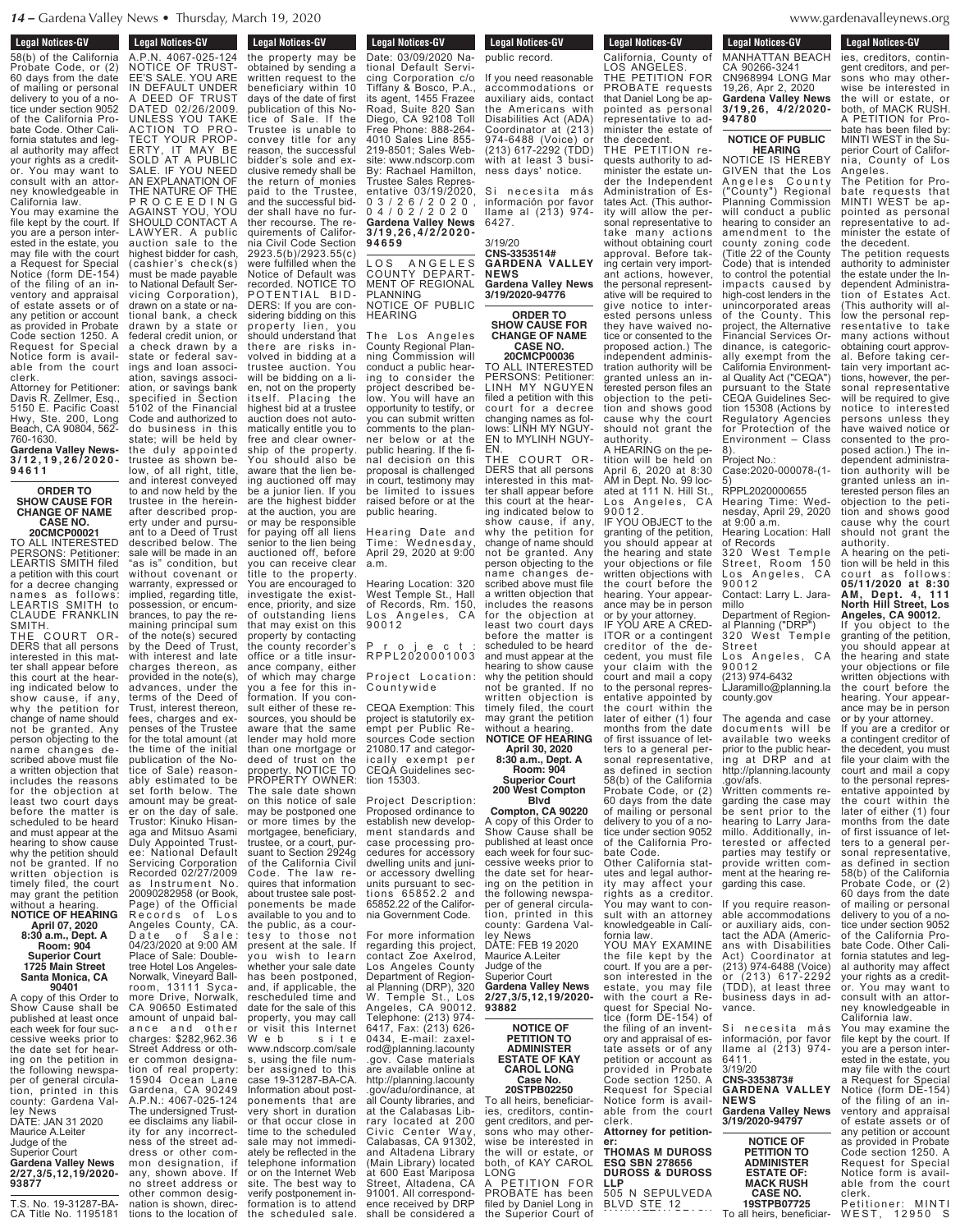## **Legal Notices-GV**

Legal Nutles-GV 58(b) of the California Probate Code, or (2) 60 days from the date of mailing or personal delivery to you of a notice under section 9052 of the California Probate Code. Other California statutes and legal authority may affect your rights as a creditor. You may want to consult with an attorney knowledgeable in California law.

You may examine the file kept by the court. If you are a person interested in the estate, you may file with the court a Request for Special Notice (form DE-154) of the filing of an inventory and appraisal of estate assets or of any petition or account as provided in Probate Code section 1250. A Request for Special Notice form is available from the court clerk. Attorney for Petitioner:

Davis R. Zellmer, Esq., 5150 E. Pacific Coast Hwy, Ste. 200, Long Beach, CA 90804, 562- 760-1630. **Gardena Valley News-**

**3 / 1 2 , 1 9 , 2 6 / 2 0 2 0 - 9 4 6 1 1**

### **ORDER TO SHOW CAUSE FOR CHANGE OF NAME CASE NO.**

**20CMCP00021** TO ALL INTERESTED PERSONS: Petitioner: LEARTIS SMITH filed a petition with this court for a decree changing names as follows: LEARTIS SMITH to CLAUDE FRANKLIN SMITH.

THE COURT OR-DERS that all persons interested in this matter shall appear before this court at the hearing indicated below to<br>show cause, if any, show cause, if any, why the petition for change of name should not be granted. Any person objecting to the name changes described above must file a written objection that includes the reasons for the objection at least two court days before the matter is scheduled to be heard and must appear at the hearing to show cause why the petition should not be granted. If no written objection is timely filed, the court may grant the petition without a hearing.

### **NOTICE OF HEARING April 07, 2020**

### **8:30 a.m., Dept. A Room: 904 Superior Court 1725 Main Street Santa Monica, CA 90401**

nation is shown, direc-A copy of this Order to Show Cause shall be published at least once each week for four successive weeks prior to the date set for hearing on the petition in the following newspaper of general circulation, printed in this county: Gardena Valley News DATE: JAN 31 2020 Maurice A.Leiter Judge of the Superior Court **Gardena Valley News 2/27,3/5,12,19/2020- 93877**

T.S. No. 19-31287-BA-CA Title No. 1195181

**Legal Nutles-GV** the property may be obtained by sending a written request to the beneficiary within 10 days of the date of first publication of this Notice of Sale. If the Trustee is unable to convey title for any reason, the successful bidder's sole and exclusive remedy shall be the return of monies paid to the Trustee, and the successful bidder shall have no further recourse. The requirements of California Civil Code Section 2923.5(b)/2923.55(c) were fulfilled when the Notice of Default was recorded. NOTICE TO<br>POTENTIAL BID-OTENTIAL DERS: If you are considering bidding on this<br>property lien. you property lien. should understand that there are risks involved in bidding at a trustee auction. You will be bidding on a lien, not on the property itself. Placing the highest bid at a trustee auction does not automatically entitle you to free and clear ownership of the property. You should also be aware that the lien being auctioned off may be a junior lien. If you are the highest bidder at the auction, you are or may be responsible for paying off all liens senior to the lien being auctioned off, before you can receive clear title to the property. You are encouraged to investigate the existence, priority, and size of outstanding liens that may exist on this property by contacting the county recorder's office or a title insurance company, either of which may charge you a fee for this information. If you consult either of these resources, you should be aware that the same lender may hold more than one mortgage or deed of trust on the property. NOTICE TO PROPERTY OWNER: The sale date shown on this notice of sale may be postponed one or more times by the mortgagee, beneficiary, trustee, or a court, pursuant to Section 2924g of the California Civil Code. The law requires that information about trustee sale postponements be made available to you and to the public, as a courtesy to those not present at the sale. If you wish to learn whether your sale date has been postponed, and, if applicable, the rescheduled time and date for the sale of this property, you may call or visit this Internet W e b s i t e www.ndscorp.com/sale using the file number assigned to this case 19-31287-BA-CA. Information about postponements that are very short in duration or that occur close in time to the scheduled sale may not immediately be reflected in the telephone information or on the Internet Web Legal Notices-GV A.P.N. 4067-025-124 NOTICE OF TRUST-EE'S SALE. YOU ARE IN DEFAULT UNDER A DEED OF TRUST DATED 02/26/2009. UNLESS YOU TAKE ACTION TO PRO-TECT YOUR PROP-ERTY, IT MAY BE SOLD AT A PUBLIC SALE. IF YOU NEED AN EXPLANATION OF THE NATURE OF THE P R O C E E D I N G AGAINST YOU, YOU SHOULD CONTACT A LAWYER. A public auction sale to the highest bidder for cash, (cashier's check(s) must be made payable to National Default Servicing Corporation), drawn on a state or national bank, a check drawn by a state or federal credit union, or a check drawn by a state or federal savings and loan association, savings association, or savings bank specified in Section 5102 of the Financial Code and authorized to do business in this state; will be held by the duly appointed trustee as shown below, of all right, title, and interest conveyed to and now held by the trustee in the hereinafter described property under and pursuant to a Deed of Trust described below. The sale will be made in an "as is" condition, but without covenant or warranty, expressed or implied, regarding title, possession, or encumbrances, to pay the remaining principal sum of the note(s) secured by the Deed of Trust with interest and late charges thereon, as provided in the note(s), advances, under the terms of the Deed of Trust, interest thereon, fees, charges and expenses of the Trustee for the total amount (at the time of the initial publication of the Notice of Sale) reasonably estimated to be set forth below. The amount may be greater on the day of sale. Trustor: Kinuko Hisanaga and Mitsuo Asami Duly Appointed Trustee: National Default Servicing Corporation Recorded 02/27/2009 as Instrument No.<br>20090282958 (or Book, 20090282958 (or Book,<br>Page) of the Official Records of Los Angeles County, CA. Date of Sale: 04/23/2020 at 9:00 AM Place of Sale: Doubletree Hotel Los Angeles-Norwalk, Vineyard Ballroom, 13111 Sycamore Drive, Norwalk, CA 90650 Estimated amount of unpaid balance and other charges: \$282,962.36 Street Address or other common designation of real property: 15904 Ocean Lane Gardena, CA 90249 A.P.N.: 4067-025-124 The undersigned Trustee disclaims any liability for any incorrectness of the street address or other com-mon designation, if any, shown above. If

*Legal Notices-GV* Legal Nutries-GV Date: 03/09/2020 National Default Servicing Corporation c/o Tiffany & Bosco, P.A., its agent, 1455 Frazee Road, Suite 820 San Diego, CA 92108 Toll Free Phone: 888-264- 4010 Sales Line 855- 219-8501; Sales Website: www.ndscorp.com By: Rachael Hamilton, Trustee Sales Representative 03/19/2020, 0 3 / 2 6 / 2 0 2 0 , 0 4 / 0 2 / 2 0 2 0 **Gardena Valley News 3 / 1 9 , 2 6 , 4 / 2 / 2 0 2 0 - 9 4 6 5 9 Legal Notices-GV** 

> LOS ANGELES COUNTY DEPART-MENT OF REGIONAL PLANNING NOTICE OF PUBLIC HEARING

The Los Angeles County Regional Planning Commission will conduct a public hear-<br>ing to consider the ing to consider the project described below. You will have an opportunity to testify, or you can submit written comments to the planner below or at the public hearing. If the final decision on this proposal is challenged in court, testimony may be limited to issues raised before or at the public hearing.

Hearing Date an d Time: Wednesday , Time: Wednesday,<br>April 29, 2020 at 9:00 a.m.

Hearing Location: 320 West Temple St., Hall of Records, Rm. 150, Los Angeles, CA 9 0 0 1 2

P r o i e c t R P P L 2 0 2 0 0 0 1 0 0 3

Project Location: Countywide

CEQA Exemption: This project is statutorily exempt per Public Resources Code section 21080.17 and categorically exempt per CEQA Guidelines section 15303.

Project Description: Proposed ordinance to establish new development standards and case processing procedures for accessory dwelling units and junior accessory dwelling units pursuant to sections 65852.2 and 65852.22 of the California Government Code.

For more information regarding this project, contact Zoe Axelrod, Los Angeles County Department of Regional Planning (DRP), 320 W. Temple St., Los Angeles, CA 90012. Telephone: (213) 974- 6417, Fax: (213) 626- 0434, E-mail: zaxelrod@planning.lacounty .gov. Case materials are available online at<br>http://planning.lacounty http://planning.lacounty .gov/adu/ordinance, at all County libraries, and at the Calabasas Library located at 200 Civic Center Way,<br>Calabasas, CA 91302, Calabasas, CA 91302,<br>and Altadena Library (Main Library) located at 600 East Mariposa Street, Altadena, CA 91001. All correspondence received by DRP shall be considered a site. The best way to formation is to attend the scheduled sale.

verify postponement in-

no street address or other common desig-

tions to the location of

### **Legal Notices-GV** Legal Nutries-dv

public record.

If you need reasonable accommodations or auxiliary aids, contact the Americans with Disabilities Act (ADA) Coordinator at (213) 974-6488 (Voice) or (213) 617-2292 (TDD) with at least 3 business days' notice.

Si necesita más información por favor llame al (213) 974- 6427. 3/19/20 **CNS-3353514#**

**GARDENA VALLEY NEWS Gardena Valley News 3/19/2020-94776**

**ORDER TO SHOW CAUSE FOR CHANGE OF NAME CASE NO.**

**20CMCP00036** TO ALL INTERESTED PERSONS: Petitione LINH MY NGUYEN filed a petition with this court for a decree changing names as follows: LINH MY NGUY-EN to MYLINH NGUY-EN. THE COURT OR-DERS that all persons interested in this matter shall appear before this court at the hearing indicated below to show cause, if any, why the petition for change of name should not be granted. Any person objecting to the name changes described above must file a written objection that includes the reasons for the objection at least two court days before the matter is scheduled to be heard and must appear at the hearing to show cause why the petition should<br>not be granted If no not be granted. If no written objection is timely filed, the court may grant the petition without a hearing. **NOTICE OF HEARING**

**April 30, 2020 8:30 a.m., Dept. A Room: 904**

**Superior Court 200 West Compton Blvd**

**Compton, CA 90220** A copy of this Order to Show Cause shall be published at least once each week for four successive weeks prior to the date set for hearing on the petition in the following newspa-per of general circulation, printed in this county: Gardena Valley News DATE: FEB 19 2020 Maurice A.Leiter Judge of the Superior Court **Gardena Valley News**

## **2/27,3/5,12,19/2020- 93882 NOTICE OF**

**PETITION TO ADMINISTER ESTATE OF KAY CAROL LONG Case No. 20STPB02250**

To all heirs, beneficiaries, creditors, contingent creditors, and persons who may otherwise be interested in the will or estate, or both, of KAY CAROL LONG A PETITION FOR PROBATE has been

filed by Daniel Long in the Superior Court of

# **Example 1** Legal Notices-GV

THE PETITION re-

**94780 Legal Nutries-GV** California, County of LOS ANGELES. THE PETITION FOR PROBATE requests that Daniel Long be appointed as personal representative to administer the estate of the decedent.

quests authority to administer the estate under the Independent Administration of Estates Act. (This authority will allow the personal representative to take many actions without obtaining court approval. Before taking certain very important actions, however, the personal representative will be required to give notice to interested persons unless they have waived notice or consented to the proposed action.) The independent administration authority will be granted unless an interested person files an objection to the petition and shows good cause why the court should not grant the authority.

8). documents will be available two weeks http://planning.lacounty garding the case may A HEARING on the petition will be held on April 6, 2020 at 8:30 AM in Dept. No. 99 located at 111 N. Hill St., Los Angeles, CA 9 0 0 1 2 . IF YOU OBJECT to the granting of the petition, you should appear at the hearing and state your objections or file written objections with the court before the hearing. Your appearance may be in person or by your attorney. IF YOU ARE A CRED-ITOR or a contingent creditor of the decedent, you must file your claim with the court and mail a copy to the personal representative appointed by the court within the later of either (1) four months from the date of first issuance of letters to a general personal representative, as defined in section 58(b) of the California Probate Code, or (2) 60 days from the date of mailing or personal delivery to you of a notice under section 9052 of the California Probate Code. Other California stat-

garding this case. If you require reasonor auxiliary aids, conans with Disabilities utes and legal authority may affect your rights as a creditor. You may want to con-sult with an attorney knowledgeable in California law. YOU MAY EXAMINE the file kept by the court. If you are a person interested in estate, you may file with the court a Re-quest for Special Notice (form DE-154) of the filing of an inventory and appraisal of estate assets or of any petition or account as provided in Probate Code section 1250. A Request for Special Notice form is available from the court clerk.

**Attorney for petitioner: THOMAS M DUROSS ESQ SBN 278656 DUROSS & DUROSS**

**LLP** 505 N SEPULVEDA BLVD STE 12

### avalleynews **CASE NO. DESCRIPTION**

**Legal Notices-GV 19STPB07725** Legal Nutrices-GV

ies, creditors, contingent creditors, and persons who may otherwise be interested in the will or estate, or both, of MACK RUSH. A PETITION for Probate has been filed by: MINTI WEST in the Su-**Example 1** Separate Legal Notices-GV Leyal Nutices-dv MANHATTAN BEACH CA 90266-3241 CN968994 LONG Mar 19,26, Apr 2, 2020 **Gardena Valley News 3/19,26, 4/2/2020- NOTICE OF PUBLIC**

**HEARING** NOTICE IS HEREBY GIVEN that the Los<br>Angeles County Angeles County ("County") Regional Planning Commission will conduct a public hearing to consider an amendment to the county zoning code (Title 22 of the County Code) that is intended to control the potential impacts caused by high-cost lenders in the unincorporated areas of the County. This project, the Alternative Financial Services Ordinance, is categorically exempt from the California Environmental Quality Act ("CEQA") pursuant to the State CEQA Guidelines Section 15308 (Actions by<br>Regulatory Agencies Regulatory

for Protection of the Environment – Class

Case:2020-000078-(1-

Hearing Location: Hall

320 West Temple Street, Room 150 Los Angeles, CA

Contact: Larry L. Jara-

Department of Regional Planning ("DRP") 320 West Temple

Los Angeles, CA

The agenda and case

prior to the public hearing at DRP and at

Written comments re-

be sent prior to the hearing to Larry Jaramillo. Additionally, interested or affected parties may testify or provide written comment at the hearing re-

able accommodations

tact the ADA (Americ-

Act) Coordinator at (213) 974-6488 (Voice) or (213) 617-2292  $\frac{(110)(1100)(1000)}{(100)(1100)(1100)}$ <br>(TDD), at least three

**3/19/2020-94797 NOTICE OF PETITION TO ADMINISTER ESTATE OF: MACK RUSH CASE NO. 19STPB07725**

RPPL2020000655 Hearing Time: Wednesday, April 29, 2020

Project No.:

at 9:00 a.m.

of Records

9 0 0 1 2

Street

9 0 0 1 2 (213) 974-6432 LJaramillo@planning.la

county.gov

.gov/afs.

millo

5)

perior Court of California, County of Los Angeles. The Petition for Probate requests that MINTI WEST be appointed as personal representative to ad-

minister the estate of the decedent. The petition requests authority to administer the estate under the Independent Administra-<br>tion of Estates Act of Estates Act. (This authority will allow the personal representative to take many actions without obtaining court approval. Before taking certain very important actions, however, the personal representative will be required to give notice to interested persons unless they have waived notice or consented to the proposed action.) The independent administration authority will be granted unless an interested person files an objection to the petition and shows good cause why the court should not grant the

authority. A hearing on the petition will be held in this court as follows: **05/11/2020 at 8:30 AM, Dept. 4, 111 North Hill Street, Los Angeles, CA 90012.** If you object to the granting of the petition, you should appear at the hearing and state your objections or file written objections with the court before the hearing. Your appear-

ance may be in person or by your attorney. If you are a creditor or a contingent creditor of the decedent, you must file your claim with the court and mail a copy to the personal representative appointed by the court within the later of either (1) four months from the date of first issuance of letters to a general personal representative, as defined in section 58(b) of the California Probate Code, or (2) 60 days from the date of mailing or personal delivery to you of a notice under section 9052 of the California Probate Code. Other California statutes and legal authority may affect your rights as a credit-or. You may want to consult with an attor-

ney knowledgeable in California law. You may examine the file kept by the court. If you are a person interested in the estate, you may file with the court a Request for Special Notice (form DE-154) of the filing of an inventory and appraisal of estate assets or of any petition or account as provided in Probate Code section 1250. A Request for Special Notice form is available from the court clerk.

Petitioner: MINTI To all heirs, beneficiar- WEST, 12950 S

business days in advance. Si necesita más información, por favor llame al (213) 974- 6411. 3/19/20 **CNS-3353873# GARDENA VALLEY NEWS Gardena Valley News**